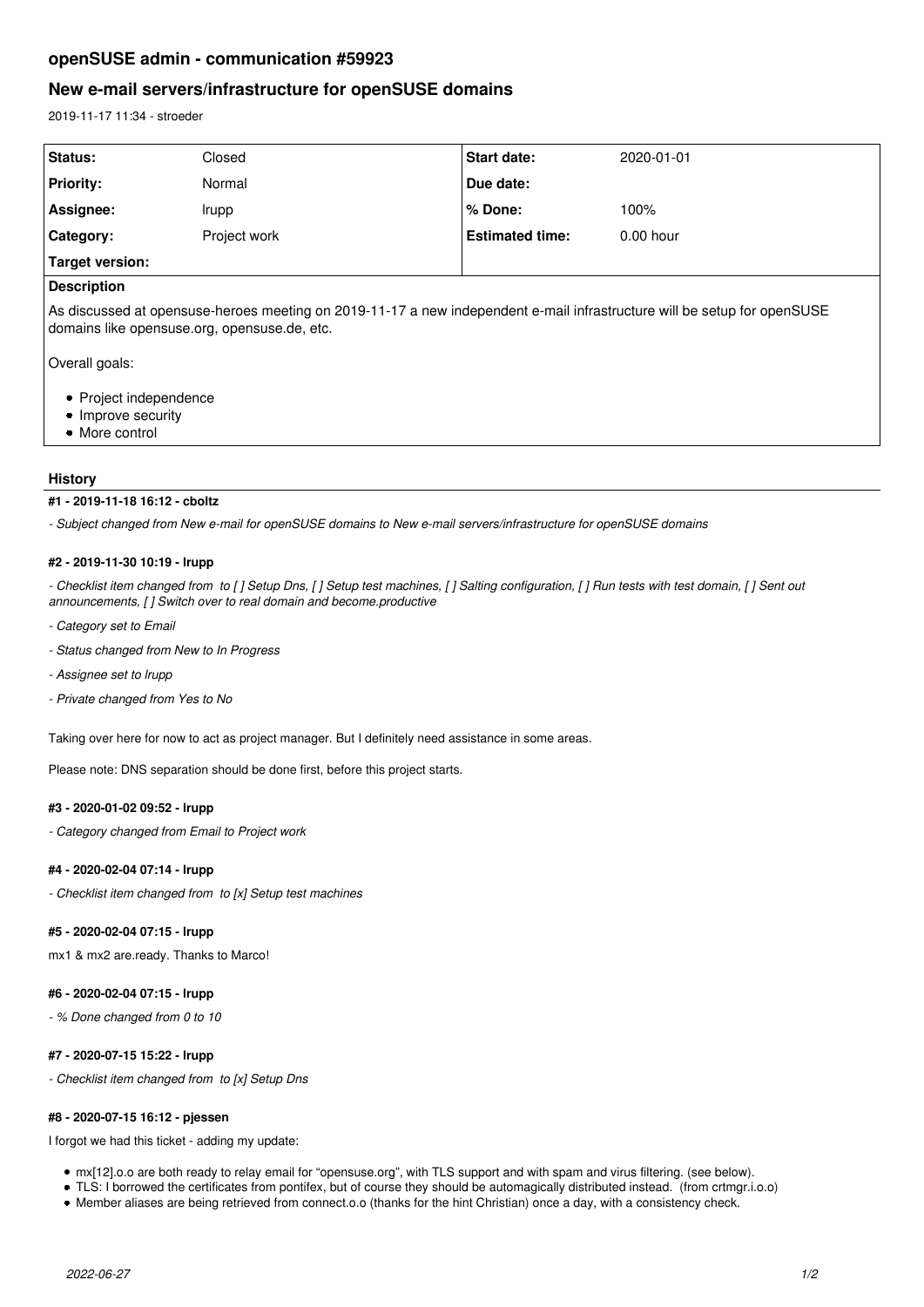# **openSUSE admin - communication #59923**

# **New e-mail servers/infrastructure for openSUSE domains**

2019-11-17 11:34 - stroeder

| Status:          | Closed       | Start date:            | 2020-01-01  |
|------------------|--------------|------------------------|-------------|
| <b>Priority:</b> | Normal       | Due date:              |             |
| Assignee:        | Irupp        | ∣% Done:               | 100%        |
| Category:        | Project work | <b>Estimated time:</b> | $0.00$ hour |
| Target version:  |              |                        |             |

## **Description**

As discussed at opensuse-heroes meeting on 2019-11-17 a new independent e-mail infrastructure will be setup for openSUSE domains like opensuse.org, opensuse.de, etc.

Overall goals:

- Project independence
- Improve security
- More control

## **History**

## **#1 - 2019-11-18 16:12 - cboltz**

*- Subject changed from New e-mail for openSUSE domains to New e-mail servers/infrastructure for openSUSE domains*

## **#2 - 2019-11-30 10:19 - lrupp**

*- Checklist item changed from to [ ] Setup Dns, [ ] Setup test machines, [ ] Salting configuration, [ ] Run tests with test domain, [ ] Sent out announcements, [ ] Switch over to real domain and become.productive*

- *Category set to Email*
- *Status changed from New to In Progress*
- *Assignee set to lrupp*
- *Private changed from Yes to No*

Taking over here for now to act as project manager. But I definitely need assistance in some areas.

Please note: DNS separation should be done first, before this project starts.

## **#3 - 2020-01-02 09:52 - lrupp**

*- Category changed from Email to Project work*

## **#4 - 2020-02-04 07:14 - lrupp**

*- Checklist item changed from to [x] Setup test machines*

## **#5 - 2020-02-04 07:15 - lrupp**

mx1 & mx2 are.ready. Thanks to Marco!

## **#6 - 2020-02-04 07:15 - lrupp**

*- % Done changed from 0 to 10*

## **#7 - 2020-07-15 15:22 - lrupp**

*- Checklist item changed from to [x] Setup Dns*

#### **#8 - 2020-07-15 16:12 - pjessen**

I forgot we had this ticket - adding my update:

- mx[12].o.o are both ready to relay email for "opensuse.org", with TLS support and with spam and virus filtering. (see below).
- TLS: I borrowed the certificates from pontifex, but of course they should be automagically distributed instead. (from crtmgr.i.o.o)
- Member aliases are being retrieved from connect.o.o (thanks for the hint Christian) once a day, with a consistency check.